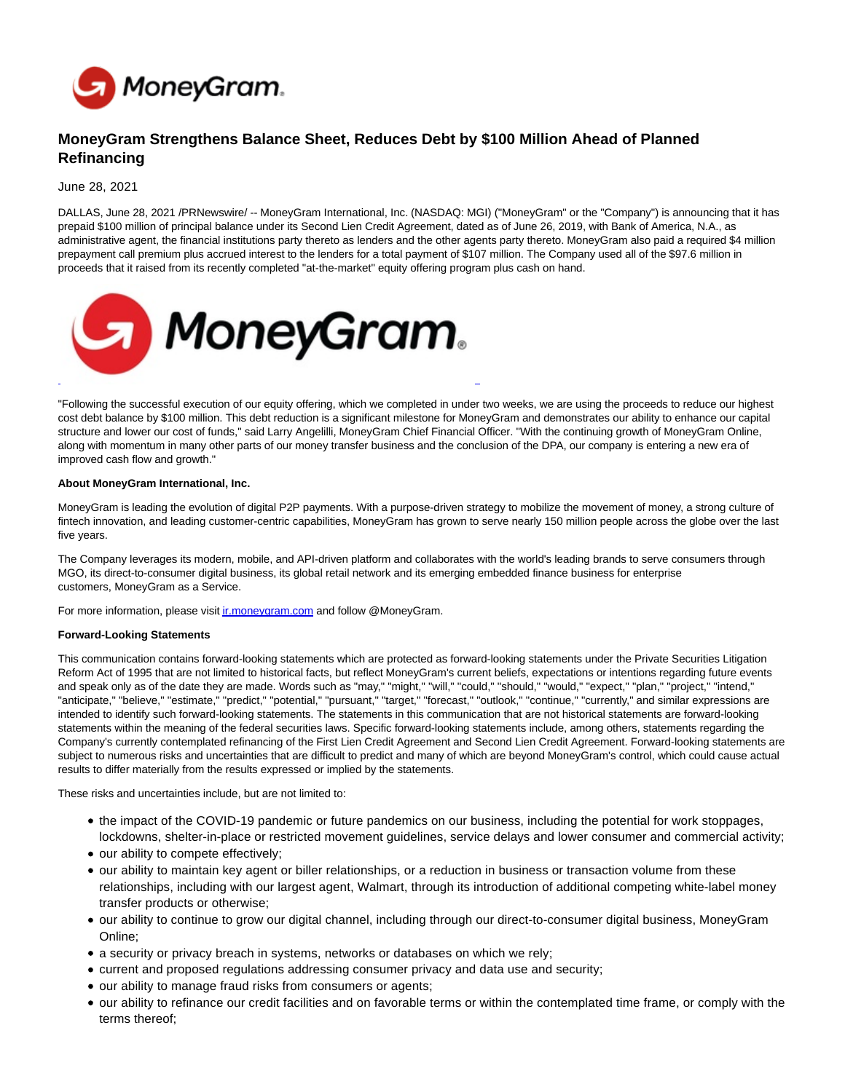

## **MoneyGram Strengthens Balance Sheet, Reduces Debt by \$100 Million Ahead of Planned Refinancing**

June 28, 2021

DALLAS, June 28, 2021 /PRNewswire/ -- MoneyGram International, Inc. (NASDAQ: MGI) ("MoneyGram" or the "Company") is announcing that it has prepaid \$100 million of principal balance under its Second Lien Credit Agreement, dated as of June 26, 2019, with Bank of America, N.A., as administrative agent, the financial institutions party thereto as lenders and the other agents party thereto. MoneyGram also paid a required \$4 million prepayment call premium plus accrued interest to the lenders for a total payment of \$107 million. The Company used all of the \$97.6 million in proceeds that it raised from its recently completed "at-the-market" equity offering program plus cash on hand.



"Following the successful execution of our equity offering, which we completed in under two weeks, we are using the proceeds to reduce our highest cost debt balance by \$100 million. This debt reduction is a significant milestone for MoneyGram and demonstrates our ability to enhance our capital structure and lower our cost of funds," said Larry Angelilli, MoneyGram Chief Financial Officer. "With the continuing growth of MoneyGram Online, along with momentum in many other parts of our money transfer business and the conclusion of the DPA, our company is entering a new era of improved cash flow and growth."

## **About MoneyGram International, Inc.**

MoneyGram is leading the evolution of digital P2P payments. With a purpose-driven strategy to mobilize the movement of money, a strong culture of fintech innovation, and leading customer-centric capabilities, MoneyGram has grown to serve nearly 150 million people across the globe over the last five years.

The Company leverages its modern, mobile, and API-driven platform and collaborates with the world's leading brands to serve consumers through MGO, its direct-to-consumer digital business, its global retail network and its emerging embedded finance business for enterprise customers, MoneyGram as a Service.

For more information, please visit *ir.moneygram.com* and follow @MoneyGram.

## **Forward-Looking Statements**

This communication contains forward-looking statements which are protected as forward-looking statements under the Private Securities Litigation Reform Act of 1995 that are not limited to historical facts, but reflect MoneyGram's current beliefs, expectations or intentions regarding future events and speak only as of the date they are made. Words such as "may," "might," "will," "could," "should," "would," "expect," "plan," "project," "intend," "anticipate," "believe," "estimate," "predict," "potential," "pursuant," "target," "forecast," "outlook," "continue," "currently," and similar expressions are intended to identify such forward-looking statements. The statements in this communication that are not historical statements are forward-looking statements within the meaning of the federal securities laws. Specific forward-looking statements include, among others, statements regarding the Company's currently contemplated refinancing of the First Lien Credit Agreement and Second Lien Credit Agreement. Forward-looking statements are subject to numerous risks and uncertainties that are difficult to predict and many of which are beyond MoneyGram's control, which could cause actual results to differ materially from the results expressed or implied by the statements.

These risks and uncertainties include, but are not limited to:

- the impact of the COVID-19 pandemic or future pandemics on our business, including the potential for work stoppages, lockdowns, shelter-in-place or restricted movement guidelines, service delays and lower consumer and commercial activity;
- our ability to compete effectively;
- our ability to maintain key agent or biller relationships, or a reduction in business or transaction volume from these relationships, including with our largest agent, Walmart, through its introduction of additional competing white-label money transfer products or otherwise;
- our ability to continue to grow our digital channel, including through our direct-to-consumer digital business, MoneyGram Online;
- a security or privacy breach in systems, networks or databases on which we rely;
- current and proposed regulations addressing consumer privacy and data use and security;
- our ability to manage fraud risks from consumers or agents;
- our ability to refinance our credit facilities and on favorable terms or within the contemplated time frame, or comply with the terms thereof;